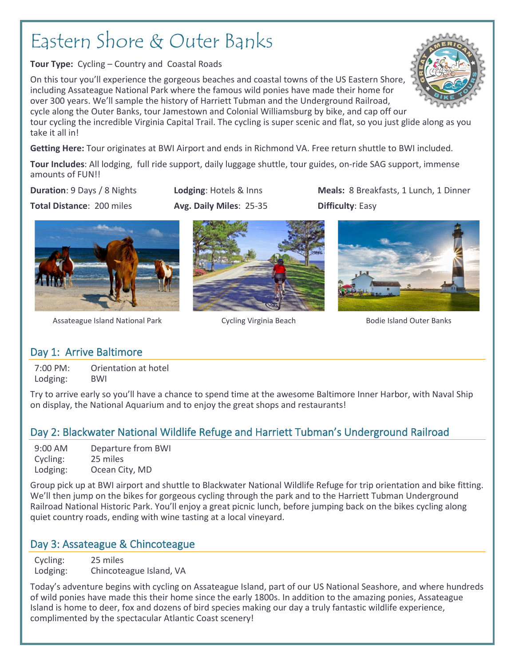# Eastern Shore & Outer Banks

**Tour Type:** Cycling – Country and Coastal Roads

On this tour you'll experience the gorgeous beaches and coastal towns of the US Eastern Shore, including Assateague National Park where the famous wild ponies have made their home for over 300 years. We'll sample the history of Harriett Tubman and the Underground Railroad, cycle along the Outer Banks, tour Jamestown and Colonial Williamsburg by bike, and cap off our

tour cycling the incredible Virginia Capital Trail. The cycling is super scenic and flat, so you just glide along as you take it all in!

**Getting Here:** Tour originates at BWI Airport and ends in Richmond VA. Free return shuttle to BWI included.

**Tour Includes**: All lodging, full ride support, daily luggage shuttle, tour guides, on-ride SAG support, immense amounts of FUN!!

**Total Distance**: 200 miles **Avg. Daily Miles**: 25-35 **Difficulty**: Easy

**Duration**: 9 Days / 8 Nights. **Lodging**: Hotels & Inns **Meals:** 8 Breakfasts, 1 Lunch, 1 Dinner



Assateague Island National Park **Cycling Virginia Beach** Bodie Island Outer Banks





# Day 1: Arrive Baltimore

7:00 PM: Orientation at hotel Lodging: BWI

Try to arrive early so you'll have a chance to spend time at the awesome Baltimore Inner Harbor, with Naval Ship on display, the National Aquarium and to enjoy the great shops and restaurants!

# Day 2: Blackwater National Wildlife Refuge and Harriett Tubman's Underground Railroad

| 9:00 AM  | Departure from BWI |
|----------|--------------------|
| Cycling: | 25 miles           |
| Lodging: | Ocean City, MD     |

Group pick up at BWI airport and shuttle to Blackwater National Wildlife Refuge for trip orientation and bike fitting. We'll then jump on the bikes for gorgeous cycling through the park and to the Harriett Tubman Underground Railroad National Historic Park. You'll enjoy a great picnic lunch, before jumping back on the bikes cycling along quiet country roads, ending with wine tasting at a local vineyard.

# Day 3: Assateague & Chincoteague

Cycling: 25 miles Lodging: Chincoteague Island, VA

Today's adventure begins with cycling on Assateague Island, part of our US National Seashore, and where hundreds of wild ponies have made this their home since the early 1800s. In addition to the amazing ponies, Assateague Island is home to deer, fox and dozens of bird species making our day a truly fantastic wildlife experience, complimented by the spectacular Atlantic Coast scenery!